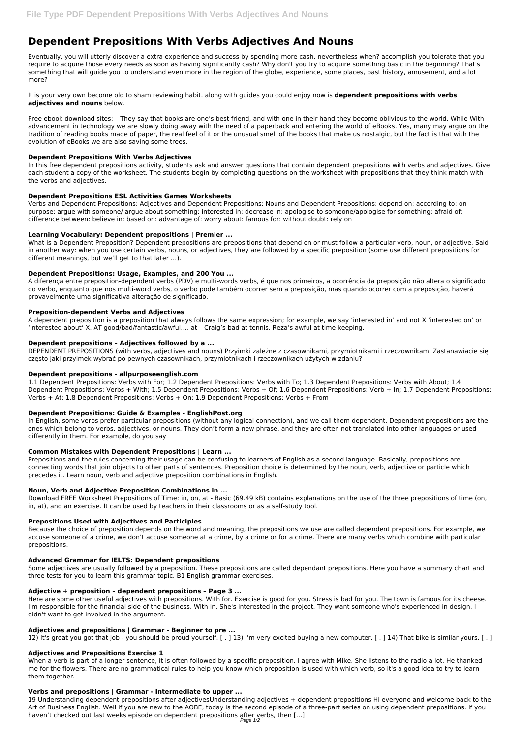# **Dependent Prepositions With Verbs Adjectives And Nouns**

Eventually, you will utterly discover a extra experience and success by spending more cash. nevertheless when? accomplish you tolerate that you require to acquire those every needs as soon as having significantly cash? Why don't you try to acquire something basic in the beginning? That's something that will guide you to understand even more in the region of the globe, experience, some places, past history, amusement, and a lot more?

It is your very own become old to sham reviewing habit. along with guides you could enjoy now is **dependent prepositions with verbs adjectives and nouns** below.

Free ebook download sites: – They say that books are one's best friend, and with one in their hand they become oblivious to the world. While With advancement in technology we are slowly doing away with the need of a paperback and entering the world of eBooks. Yes, many may argue on the tradition of reading books made of paper, the real feel of it or the unusual smell of the books that make us nostalgic, but the fact is that with the evolution of eBooks we are also saving some trees.

### **Dependent Prepositions With Verbs Adjectives**

In this free dependent prepositions activity, students ask and answer questions that contain dependent prepositions with verbs and adjectives. Give each student a copy of the worksheet. The students begin by completing questions on the worksheet with prepositions that they think match with the verbs and adjectives.

### **Dependent Prepositions ESL Activities Games Worksheets**

Verbs and Dependent Prepositions: Adjectives and Dependent Prepositions: Nouns and Dependent Prepositions: depend on: according to: on purpose: argue with someone/ argue about something: interested in: decrease in: apologise to someone/apologise for something: afraid of: difference between: believe in: based on: advantage of: worry about: famous for: without doubt: rely on

### **Learning Vocabulary: Dependent prepositions | Premier ...**

What is a Dependent Preposition? Dependent prepositions are prepositions that depend on or must follow a particular verb, noun, or adjective. Said in another way: when you use certain verbs, nouns, or adjectives, they are followed by a specific preposition (some use different prepositions for different meanings, but we'll get to that later …).

### **Dependent Prepositions: Usage, Examples, and 200 You ...**

A diferença entre preposition-dependent verbs (PDV) e multi-words verbs, é que nos primeiros, a ocorrência da preposição não altera o significado do verbo, enquanto que nos multi-word verbs, o verbo pode também ocorrer sem a preposição, mas quando ocorrer com a preposição, haverá provavelmente uma significativa alteração de significado.

#### **Preposition-dependent Verbs and Adjectives**

A dependent preposition is a preposition that always follows the same expression; for example, we say 'interested in' and not X 'interested on' or 'interested about' X. AT good/bad/fantastic/awful…. at – Craig's bad at tennis. Reza's awful at time keeping.

#### **Dependent prepositions – Adjectives followed by a ...**

DEPENDENT PREPOSITIONS (with verbs, adjectives and nouns) Przyimki zależne z czasownikami, przymiotnikami i rzeczownikami Zastanawiacie się często jaki przyimek wybrać po pewnych czasownikach, przymiotnikach i rzeczownikach użytych w zdaniu?

#### **Dependent prepositions - allpurposeenglish.com**

1.1 Dependent Prepositions: Verbs with For; 1.2 Dependent Prepositions: Verbs with To; 1.3 Dependent Prepositions: Verbs with About; 1.4 Dependent Prepositions: Verbs + With; 1.5 Dependent Prepositions: Verbs + Of; 1.6 Dependent Prepositions: Verb + In; 1.7 Dependent Prepositions: Verbs + At; 1.8 Dependent Prepositions: Verbs + On; 1.9 Dependent Prepositions: Verbs + From

# **Dependent Prepositions: Guide & Examples - EnglishPost.org**

In English, some verbs prefer particular prepositions (without any logical connection), and we call them dependent. Dependent prepositions are the ones which belong to verbs, adjectives, or nouns. They don't form a new phrase, and they are often not translated into other languages or used differently in them. For example, do you say

# **Common Mistakes with Dependent Prepositions | Learn ...**

Prepositions and the rules concerning their usage can be confusing to learners of English as a second language. Basically, prepositions are connecting words that join objects to other parts of sentences. Preposition choice is determined by the noun, verb, adjective or particle which precedes it. Learn noun, verb and adjective preposition combinations in English.

#### **Noun, Verb and Adjective Preposition Combinations in ...**

Download FREE Worksheet Prepositions of Time: in, on, at - Basic (69.49 kB) contains explanations on the use of the three prepositions of time (on, in, at), and an exercise. It can be used by teachers in their classrooms or as a self-study tool.

### **Prepositions Used with Adjectives and Participles**

Because the choice of preposition depends on the word and meaning, the prepositions we use are called dependent prepositions. For example, we accuse someone of a crime, we don't accuse someone at a crime, by a crime or for a crime. There are many verbs which combine with particular prepositions.

#### **Advanced Grammar for IELTS: Dependent prepositions**

Some adjectives are usually followed by a preposition. These prepositions are called dependant prepositions. Here you have a summary chart and three tests for you to learn this grammar topic. B1 English grammar exercises.

#### **Adjective + preposition – dependent prepositions – Page 3 ...**

Here are some other useful adjectives with prepositions. With for. Exercise is good for you. Stress is bad for you. The town is famous for its cheese. I'm responsible for the financial side of the business. With in. She's interested in the project. They want someone who's experienced in design. I didn't want to get involved in the argument.

#### **Adjectives and prepositions | Grammar - Beginner to pre ...**

12) It's great you got that job - you should be proud yourself. [ . ] 13) I'm very excited buying a new computer. [ . ] 14) That bike is similar yours. [ . ]

#### **Adjectives and Prepositions Exercise 1**

When a verb is part of a longer sentence, it is often followed by a specific preposition. I agree with Mike. She listens to the radio a lot. He thanked me for the flowers. There are no grammatical rules to help you know which preposition is used with which verb, so it's a good idea to try to learn them together.

#### **Verbs and prepositions | Grammar - Intermediate to upper ...**

19 Understanding dependent prepositions after adjectivesUnderstanding adjectives + dependent prepositions Hi everyone and welcome back to the Art of Business English. Well if you are new to the AOBE, today is the second episode of a three-part series on using dependent prepositions. If you haven't checked out last weeks episode on dependent prepositions after verbs, then […]